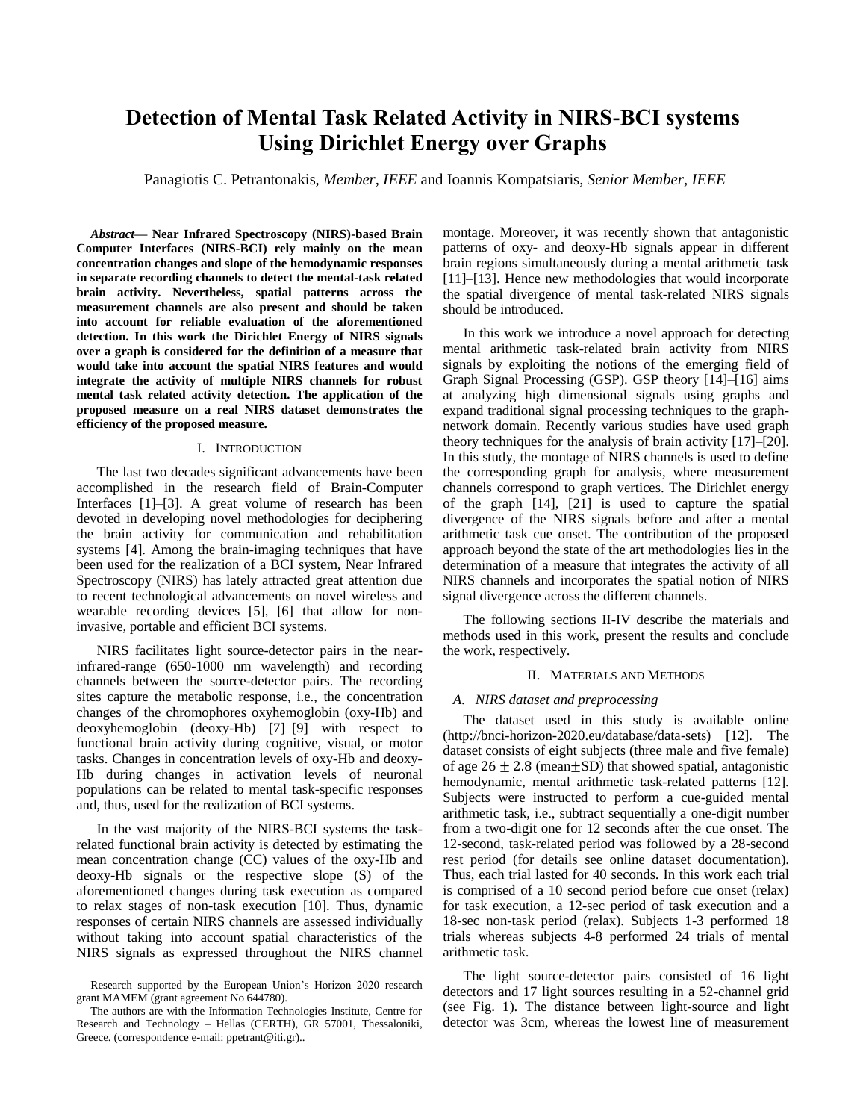# **Detection of Mental Task Related Activity in NIRS-BCI systems Using Dirichlet Energy over Graphs**

Panagiotis C. Petrantonakis, *Member, IEEE* and Ioannis Kompatsiaris, *Senior Member, IEEE*

*Abstract***— Near Infrared Spectroscopy (NIRS)-based Brain Computer Interfaces (NIRS-BCI) rely mainly on the mean concentration changes and slope of the hemodynamic responses in separate recording channels to detect the mental-task related brain activity. Nevertheless, spatial patterns across the measurement channels are also present and should be taken into account for reliable evaluation of the aforementioned detection. In this work the Dirichlet Energy of NIRS signals over a graph is considered for the definition of a measure that would take into account the spatial NIRS features and would integrate the activity of multiple NIRS channels for robust mental task related activity detection. The application of the proposed measure on a real NIRS dataset demonstrates the efficiency of the proposed measure.**

#### I. INTRODUCTION

The last two decades significant advancements have been accomplished in the research field of Brain-Computer Interfaces [1]–[3]. A great volume of research has been devoted in developing novel methodologies for deciphering the brain activity for communication and rehabilitation systems [4]. Among the brain-imaging techniques that have been used for the realization of a BCI system, Near Infrared Spectroscopy (NIRS) has lately attracted great attention due to recent technological advancements on novel wireless and wearable recording devices [5], [6] that allow for noninvasive, portable and efficient BCI systems.

NIRS facilitates light source-detector pairs in the nearinfrared-range (650-1000 nm wavelength) and recording channels between the source-detector pairs. The recording sites capture the metabolic response, i.e., the concentration changes of the chromophores oxyhemoglobin (oxy-Hb) and deoxyhemoglobin (deoxy-Hb) [7]–[9] with respect to functional brain activity during cognitive, visual, or motor tasks. Changes in concentration levels of oxy-Hb and deoxy-Hb during changes in activation levels of neuronal populations can be related to mental task-specific responses and, thus, used for the realization of BCI systems.

In the vast majority of the NIRS-BCI systems the taskrelated functional brain activity is detected by estimating the mean concentration change (CC) values of the oxy-Hb and deoxy-Hb signals or the respective slope (S) of the aforementioned changes during task execution as compared to relax stages of non-task execution [10]. Thus, dynamic responses of certain NIRS channels are assessed individually without taking into account spatial characteristics of the NIRS signals as expressed throughout the NIRS channel montage. Moreover, it was recently shown that antagonistic patterns of oxy- and deoxy-Hb signals appear in different brain regions simultaneously during a mental arithmetic task [11]–[13]. Hence new methodologies that would incorporate the spatial divergence of mental task-related NIRS signals should be introduced.

In this work we introduce a novel approach for detecting mental arithmetic task-related brain activity from NIRS signals by exploiting the notions of the emerging field of Graph Signal Processing (GSP). GSP theory [14]–[16] aims at analyzing high dimensional signals using graphs and expand traditional signal processing techniques to the graphnetwork domain. Recently various studies have used graph theory techniques for the analysis of brain activity [17]–[20]. In this study, the montage of NIRS channels is used to define the corresponding graph for analysis, where measurement channels correspond to graph vertices. The Dirichlet energy of the graph [14], [21] is used to capture the spatial divergence of the NIRS signals before and after a mental arithmetic task cue onset. The contribution of the proposed approach beyond the state of the art methodologies lies in the determination of a measure that integrates the activity of all NIRS channels and incorporates the spatial notion of NIRS signal divergence across the different channels.

The following sections II-IV describe the materials and methods used in this work, present the results and conclude the work, respectively.

### II. MATERIALS AND METHODS

#### *A. NIRS dataset and preprocessing*

The dataset used in this study is available online (http://bnci-horizon-2020.eu/database/data-sets) [12]. The dataset consists of eight subjects (three male and five female) of age  $26 \pm 2.8$  (mean $\pm$ SD) that showed spatial, antagonistic hemodynamic, mental arithmetic task-related patterns [12]. Subjects were instructed to perform a cue-guided mental arithmetic task, i.e., subtract sequentially a one-digit number from a two-digit one for 12 seconds after the cue onset. The 12-second, task-related period was followed by a 28-second rest period (for details see online dataset documentation). Thus, each trial lasted for 40 seconds. In this work each trial is comprised of a 10 second period before cue onset (relax) for task execution, a 12-sec period of task execution and a 18-sec non-task period (relax). Subjects 1-3 performed 18 trials whereas subjects 4-8 performed 24 trials of mental arithmetic task.

The light source-detector pairs consisted of 16 light detectors and 17 light sources resulting in a 52-channel grid (see Fig. 1). The distance between light-source and light detector was 3cm, whereas the lowest line of measurement

Research supported by the European Union's Horizon 2020 research grant MAMEM (grant agreement No 644780).

The authors are with the Information Technologies Institute, Centre for Research and Technology – Hellas (CERTH), GR 57001, Thessaloniki, Greece. (correspondence e-mail: ppetrant@iti.gr)..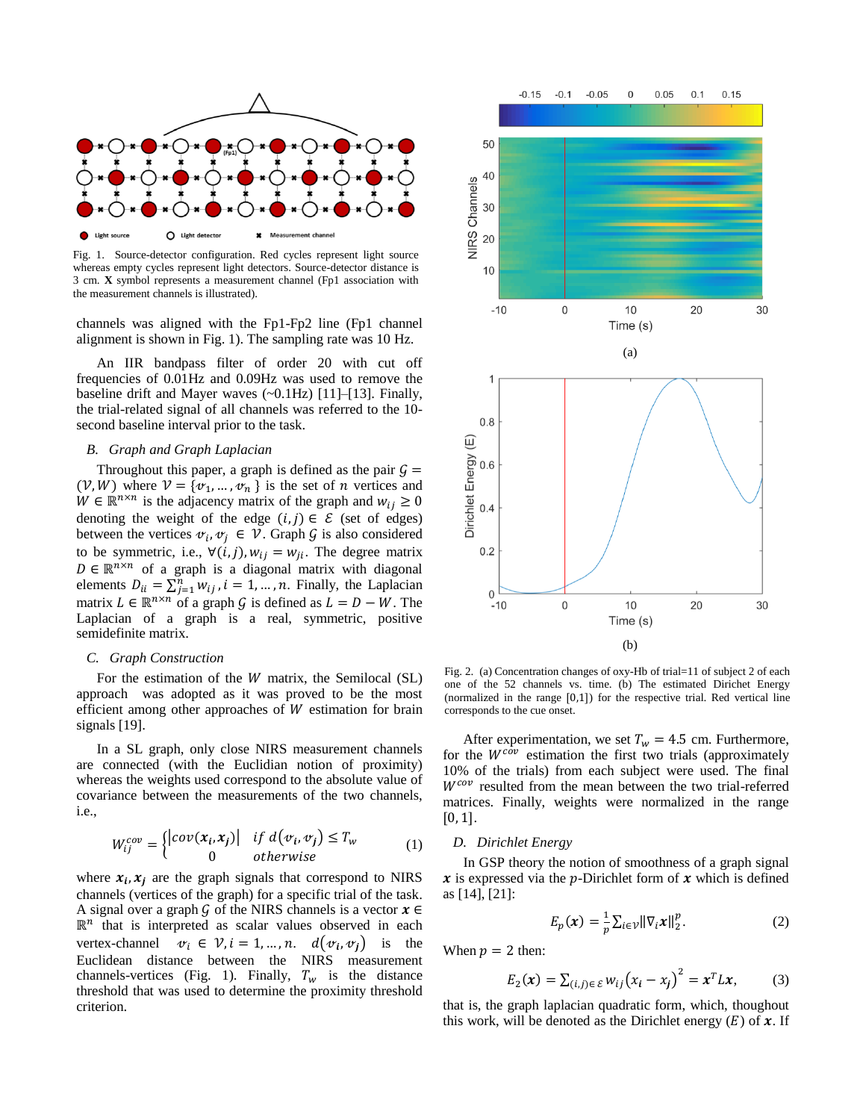

Fig. 1. Source-detector configuration. Red cycles represent light source whereas empty cycles represent light detectors. Source-detector distance is 3 cm. **X** symbol represents a measurement channel (Fp1 association with the measurement channels is illustrated).

channels was aligned with the Fp1-Fp2 line (Fp1 channel alignment is shown in Fig. 1). The sampling rate was 10 Hz.

An IIR bandpass filter of order 20 with cut off frequencies of 0.01Hz and 0.09Hz was used to remove the baseline drift and Mayer waves (~0.1Hz) [11]–[13]. Finally, the trial-related signal of all channels was referred to the 10 second baseline interval prior to the task.

#### *B. Graph and Graph Laplacian*

Throughout this paper, a graph is defined as the pair  $G =$  $(V, W)$  where  $V = \{v_1, ..., v_n\}$  is the set of *n* vertices and  $W \in \mathbb{R}^{n \times n}$  is the adjacency matrix of the graph and  $w_{ij} \ge 0$ denoting the weight of the edge  $(i, j) \in \mathcal{E}$  (set of edges) between the vertices  $\mathbf{v}_i, \mathbf{v}_j \in \mathcal{V}$ . Graph G is also considered to be symmetric, i.e.,  $\forall (i, j)$ ,  $w_{ij} = w_{ji}$ . The degree matrix  $D \in \mathbb{R}^{n \times n}$  of a graph is a diagonal matrix with diagonal elements  $D_{ii} = \sum_{j=1}^{n} w_{ij}$ ,  $i = 1, ..., n$ . Finally, the Laplacian matrix  $L \in \mathbb{R}^{n \times n}$  of a graph G is defined as  $L = D - W$ . The Laplacian of a graph is a real, symmetric, positive semidefinite matrix.

#### *C. Graph Construction*

For the estimation of the  $W$  matrix, the Semilocal (SL) approach was adopted as it was proved to be the most efficient among other approaches of  $W$  estimation for brain signals [19].

In a SL graph, only close NIRS measurement channels are connected (with the Euclidian notion of proximity) whereas the weights used correspond to the absolute value of covariance between the measurements of the two channels, i.e.,

$$
W_{ij}^{cov} = \begin{cases} |cov(x_i, x_j)| & \text{if } d(v_i, v_j) \le T_w \\ 0 & \text{otherwise} \end{cases} \tag{1}
$$

where  $x_i$ ,  $x_j$  are the graph signals that correspond to NIRS channels (vertices of the graph) for a specific trial of the task. A signal over a graph G of the NIRS channels is a vector  $x \in$  $\mathbb{R}^n$  that is interpreted as scalar values observed in each vertex-channel  $\mathcal{v}_i \in \mathcal{V}, i = 1, ..., n.$   $d(\mathcal{v}_i, \mathcal{v}_j)$  is the Euclidean distance between the NIRS measurement channels-vertices (Fig. 1). Finally,  $T_w$  is the distance threshold that was used to determine the proximity threshold criterion.



Fig. 2. (a) Concentration changes of oxy-Hb of trial=11 of subject 2 of each one of the 52 channels vs. time. (b) The estimated Dirichet Energy (normalized in the range [0,1]) for the respective trial. Red vertical line corresponds to the cue onset.

After experimentation, we set  $T_w = 4.5$  cm. Furthermore, for the  $W^{c\tilde{o}\nu}$  estimation the first two trials (approximately 10% of the trials) from each subject were used. The final  $W^{cov}$  resulted from the mean between the two trial-referred matrices. Finally, weights were normalized in the range  $[0, 1].$ 

#### *D. Dirichlet Energy*

In GSP theory the notion of smoothness of a graph signal  $\boldsymbol{x}$  is expressed via the *p*-Dirichlet form of  $\boldsymbol{x}$  which is defined as [14], [21]:

$$
E_p(x) = \frac{1}{p} \sum_{i \in \mathcal{V}} \|\nabla_i x\|_2^p. \tag{2}
$$

When  $p = 2$  then:

$$
E_2(\mathbf{x}) = \sum_{(i,j)\in\mathcal{E}} w_{ij} (x_i - x_j)^2 = \mathbf{x}^T L \mathbf{x},
$$
 (3)

that is, the graph laplacian quadratic form, which, thoughout this work, will be denoted as the Dirichlet energy  $(E)$  of  $\mathbf{x}$ . If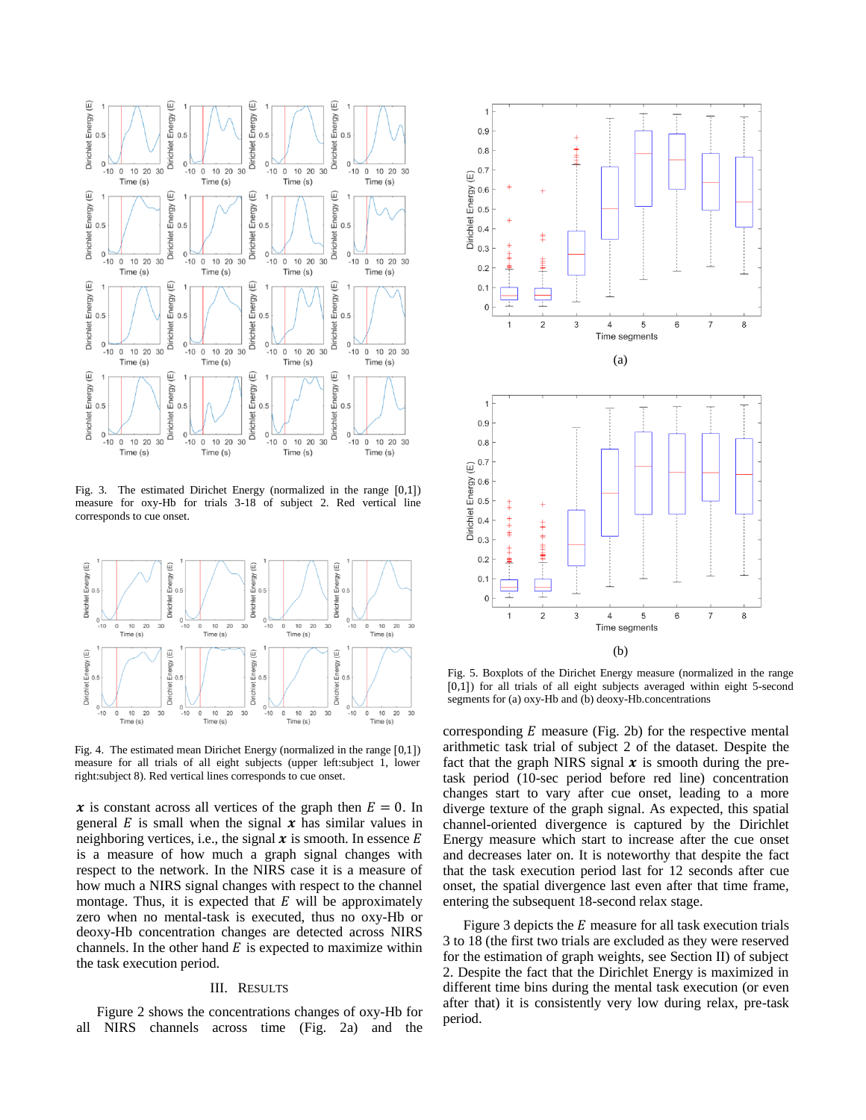

Fig. 3. The estimated Dirichet Energy (normalized in the range [0,1]) measure for oxy-Hb for trials 3-18 of subject 2. Red vertical line corresponds to cue onset.



Fig. 4. The estimated mean Dirichet Energy (normalized in the range [0,1]) measure for all trials of all eight subjects (upper left:subject 1, lower right:subject 8). Red vertical lines corresponds to cue onset.

x is constant across all vertices of the graph then  $E = 0$ . In general  $E$  is small when the signal  $x$  has similar values in neighboring vertices, i.e., the signal  $x$  is smooth. In essence  $E$ is a measure of how much a graph signal changes with respect to the network. In the NIRS case it is a measure of how much a NIRS signal changes with respect to the channel montage. Thus, it is expected that  $E$  will be approximately zero when no mental-task is executed, thus no oxy-Hb or deoxy-Hb concentration changes are detected across NIRS channels. In the other hand  $E$  is expected to maximize within the task execution period.

## III. RESULTS

Figure 2 shows the concentrations changes of oxy-Hb for all NIRS channels across time (Fig. 2a) and the



Fig. 5. Boxplots of the Dirichet Energy measure (normalized in the range [0,1]) for all trials of all eight subjects averaged within eight 5-second segments for (a) oxy-Hb and (b) deoxy-Hb.concentrations

corresponding  $E$  measure (Fig. 2b) for the respective mental arithmetic task trial of subject 2 of the dataset. Despite the fact that the graph NIRS signal  $x$  is smooth during the pretask period (10-sec period before red line) concentration changes start to vary after cue onset, leading to a more diverge texture of the graph signal. As expected, this spatial channel-oriented divergence is captured by the Dirichlet Energy measure which start to increase after the cue onset and decreases later on. It is noteworthy that despite the fact that the task execution period last for 12 seconds after cue onset, the spatial divergence last even after that time frame, entering the subsequent 18-second relax stage.

Figure 3 depicts the  $E$  measure for all task execution trials 3 to 18 (the first two trials are excluded as they were reserved for the estimation of graph weights, see Section II) of subject 2. Despite the fact that the Dirichlet Energy is maximized in different time bins during the mental task execution (or even after that) it is consistently very low during relax, pre-task period.